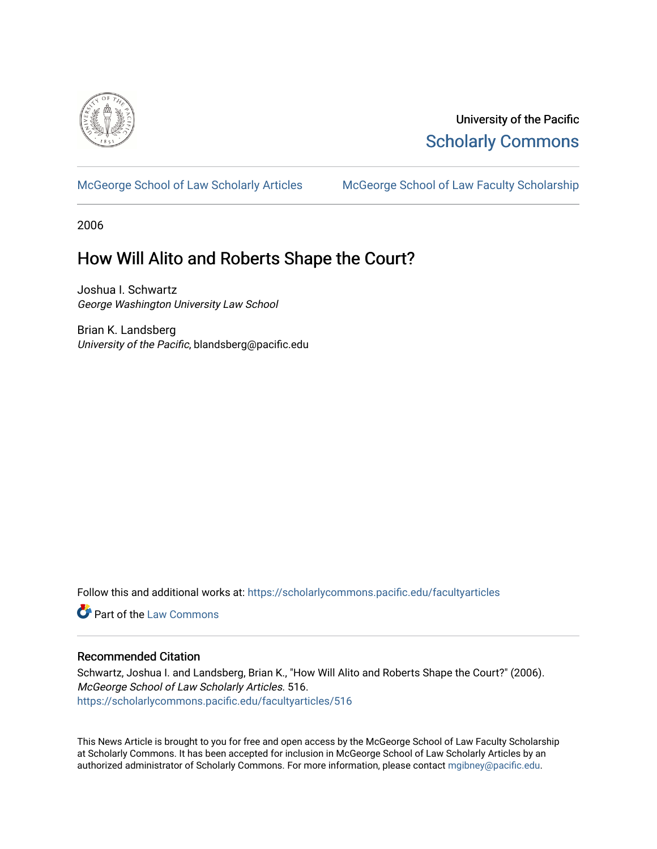

University of the Pacific [Scholarly Commons](https://scholarlycommons.pacific.edu/) 

[McGeorge School of Law Scholarly Articles](https://scholarlycommons.pacific.edu/facultyarticles) [McGeorge School of Law Faculty Scholarship](https://scholarlycommons.pacific.edu/facultyscholarship) 

2006

# How Will Alito and Roberts Shape the Court?

Joshua I. Schwartz George Washington University Law School

Brian K. Landsberg University of the Pacific, blandsberg@pacific.edu

Follow this and additional works at: [https://scholarlycommons.pacific.edu/facultyarticles](https://scholarlycommons.pacific.edu/facultyarticles?utm_source=scholarlycommons.pacific.edu%2Ffacultyarticles%2F516&utm_medium=PDF&utm_campaign=PDFCoverPages)

**C** Part of the [Law Commons](http://network.bepress.com/hgg/discipline/578?utm_source=scholarlycommons.pacific.edu%2Ffacultyarticles%2F516&utm_medium=PDF&utm_campaign=PDFCoverPages)

## Recommended Citation

Schwartz, Joshua I. and Landsberg, Brian K., "How Will Alito and Roberts Shape the Court?" (2006). McGeorge School of Law Scholarly Articles. 516. [https://scholarlycommons.pacific.edu/facultyarticles/516](https://scholarlycommons.pacific.edu/facultyarticles/516?utm_source=scholarlycommons.pacific.edu%2Ffacultyarticles%2F516&utm_medium=PDF&utm_campaign=PDFCoverPages)

This News Article is brought to you for free and open access by the McGeorge School of Law Faculty Scholarship at Scholarly Commons. It has been accepted for inclusion in McGeorge School of Law Scholarly Articles by an authorized administrator of Scholarly Commons. For more information, please contact [mgibney@pacific.edu.](mailto:mgibney@pacific.edu)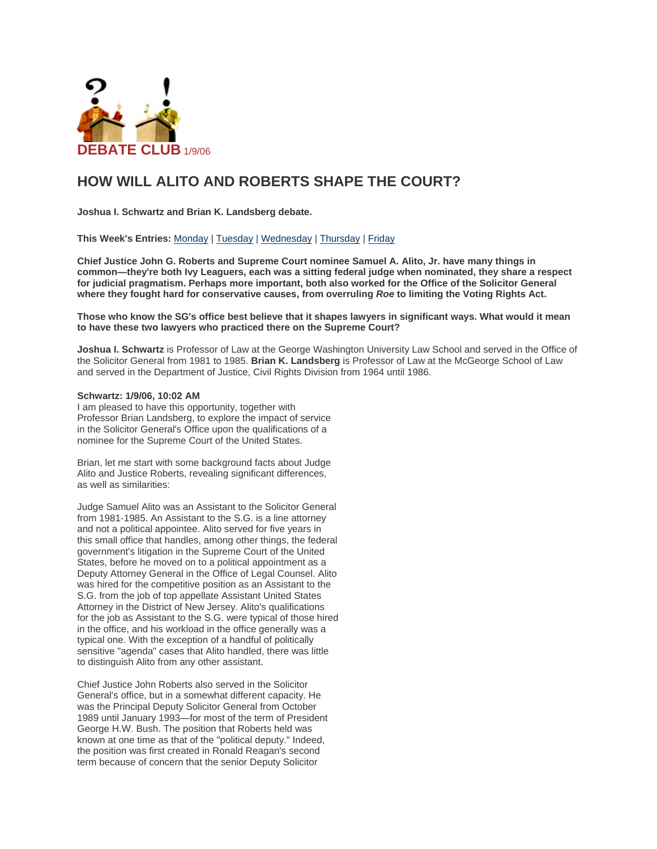

## **HOW WILL ALITO AND ROBERTS SHAPE THE COURT?**

**Joshua I. Schwartz and Brian K. Landsberg debate.**

**This Week's Entries:** [Monday](https://www.legalaffairs.org/webexclusive/debateclub_sg0106.msp#Monday) | [Tuesday](https://www.legalaffairs.org/webexclusive/debateclub_sg0106.msp#Tuesday) | [Wednesday](https://www.legalaffairs.org/webexclusive/debateclub_sg0106.msp#Wednesday) | [Thursday](https://www.legalaffairs.org/webexclusive/debateclub_sg0106.msp#Thursday) | [Friday](https://www.legalaffairs.org/webexclusive/debateclub_sg0106.msp#Friday)

**Chief Justice John G. Roberts and Supreme Court nominee Samuel A. Alito, Jr. have many things in common—they're both Ivy Leaguers, each was a sitting federal judge when nominated, they share a respect for judicial pragmatism. Perhaps more important, both also worked for the Office of the Solicitor General where they fought hard for conservative causes, from overruling** *Roe* **to limiting the Voting Rights Act.**

**Those who know the SG's office best believe that it shapes lawyers in significant ways. What would it mean to have these two lawyers who practiced there on the Supreme Court?**

**Joshua I. Schwartz** is Professor of Law at the George Washington University Law School and served in the Office of the Solicitor General from 1981 to 1985. **Brian K. Landsberg** is Professor of Law at the McGeorge School of Law and served in the Department of Justice, Civil Rights Division from 1964 until 1986.

#### **Schwartz: 1/9/06, 10:02 AM**

I am pleased to have this opportunity, together with Professor Brian Landsberg, to explore the impact of service in the Solicitor General's Office upon the qualifications of a nominee for the Supreme Court of the United States.

Brian, let me start with some background facts about Judge Alito and Justice Roberts, revealing significant differences, as well as similarities:

Judge Samuel Alito was an Assistant to the Solicitor General from 1981-1985. An Assistant to the S.G. is a line attorney and not a political appointee. Alito served for five years in this small office that handles, among other things, the federal government's litigation in the Supreme Court of the United States, before he moved on to a political appointment as a Deputy Attorney General in the Office of Legal Counsel. Alito was hired for the competitive position as an Assistant to the S.G. from the job of top appellate Assistant United States Attorney in the District of New Jersey. Alito's qualifications for the job as Assistant to the S.G. were typical of those hired in the office, and his workload in the office generally was a typical one. With the exception of a handful of politically sensitive "agenda" cases that Alito handled, there was little to distinguish Alito from any other assistant.

Chief Justice John Roberts also served in the Solicitor General's office, but in a somewhat different capacity. He was the Principal Deputy Solicitor General from October 1989 until January 1993—for most of the term of President George H.W. Bush. The position that Roberts held was known at one time as that of the "political deputy." Indeed, the position was first created in Ronald Reagan's second term because of concern that the senior Deputy Solicitor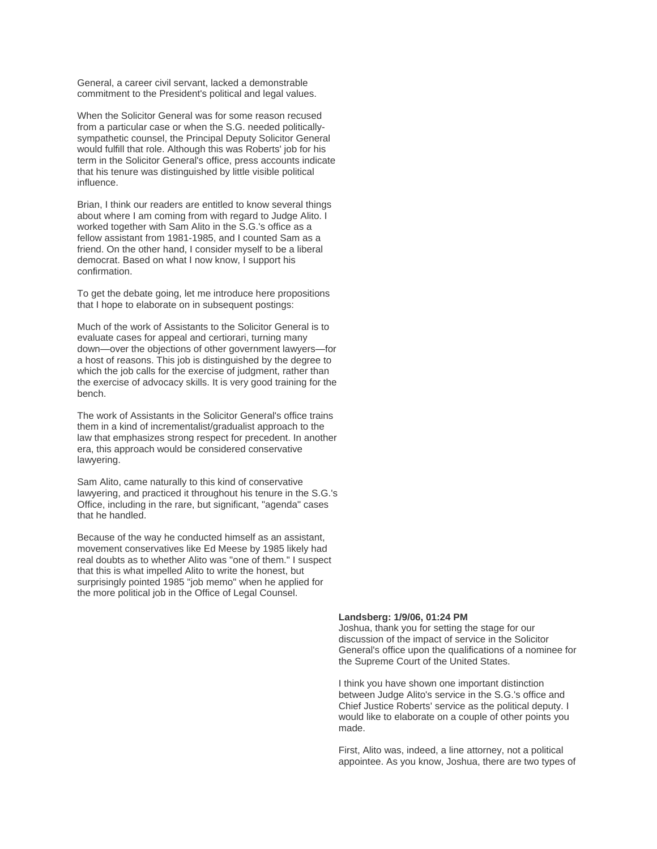General, a career civil servant, lacked a demonstrable commitment to the President's political and legal values.

When the Solicitor General was for some reason recused from a particular case or when the S.G. needed politicallysympathetic counsel, the Principal Deputy Solicitor General would fulfill that role. Although this was Roberts' job for his term in the Solicitor General's office, press accounts indicate that his tenure was distinguished by little visible political influence.

Brian, I think our readers are entitled to know several things about where I am coming from with regard to Judge Alito. I worked together with Sam Alito in the S.G.'s office as a fellow assistant from 1981-1985, and I counted Sam as a friend. On the other hand, I consider myself to be a liberal democrat. Based on what I now know, I support his confirmation.

To get the debate going, let me introduce here propositions that I hope to elaborate on in subsequent postings:

Much of the work of Assistants to the Solicitor General is to evaluate cases for appeal and certiorari, turning many down—over the objections of other government lawyers—for a host of reasons. This job is distinguished by the degree to which the job calls for the exercise of judgment, rather than the exercise of advocacy skills. It is very good training for the bench.

The work of Assistants in the Solicitor General's office trains them in a kind of incrementalist/gradualist approach to the law that emphasizes strong respect for precedent. In another era, this approach would be considered conservative lawyering.

Sam Alito, came naturally to this kind of conservative lawyering, and practiced it throughout his tenure in the S.G.'s Office, including in the rare, but significant, "agenda" cases that he handled.

Because of the way he conducted himself as an assistant, movement conservatives like Ed Meese by 1985 likely had real doubts as to whether Alito was "one of them." I suspect that this is what impelled Alito to write the honest, but surprisingly pointed 1985 "job memo" when he applied for the more political job in the Office of Legal Counsel.

#### **Landsberg: 1/9/06, 01:24 PM**

Joshua, thank you for setting the stage for our discussion of the impact of service in the Solicitor General's office upon the qualifications of a nominee for the Supreme Court of the United States.

I think you have shown one important distinction between Judge Alito's service in the S.G.'s office and Chief Justice Roberts' service as the political deputy. I would like to elaborate on a couple of other points you made.

First, Alito was, indeed, a line attorney, not a political appointee. As you know, Joshua, there are two types of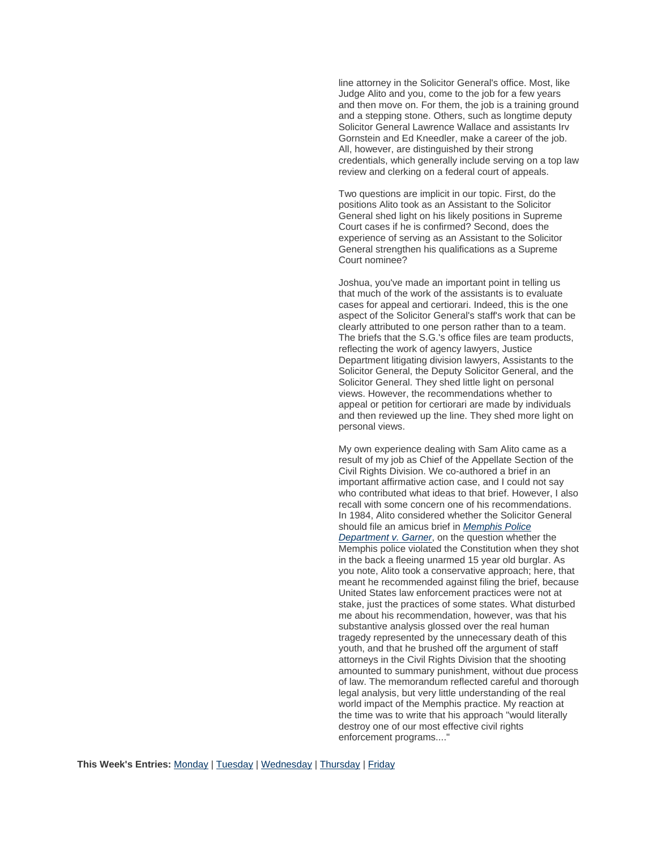line attorney in the Solicitor General's office. Most, like Judge Alito and you, come to the job for a few years and then move on. For them, the job is a training ground and a stepping stone. Others, such as longtime deputy Solicitor General Lawrence Wallace and assistants Irv Gornstein and Ed Kneedler, make a career of the job. All, however, are distinguished by their strong credentials, which generally include serving on a top law review and clerking on a federal court of appeals.

Two questions are implicit in our topic. First, do the positions Alito took as an Assistant to the Solicitor General shed light on his likely positions in Supreme Court cases if he is confirmed? Second, does the experience of serving as an Assistant to the Solicitor General strengthen his qualifications as a Supreme Court nominee?

Joshua, you've made an important point in telling us that much of the work of the assistants is to evaluate cases for appeal and certiorari. Indeed, this is the one aspect of the Solicitor General's staff's work that can be clearly attributed to one person rather than to a team. The briefs that the S.G.'s office files are team products, reflecting the work of agency lawyers, Justice Department litigating division lawyers, Assistants to the Solicitor General, the Deputy Solicitor General, and the Solicitor General. They shed little light on personal views. However, the recommendations whether to appeal or petition for certiorari are made by individuals and then reviewed up the line. They shed more light on personal views.

My own experience dealing with Sam Alito came as a result of my job as Chief of the Appellate Section of the Civil Rights Division. We co-authored a brief in an important affirmative action case, and I could not say who contributed what ideas to that brief. However, I also recall with some concern one of his recommendations. In 1984, Alito considered whether the Solicitor General should file an amicus brief in *[Memphis Police](http://caselaw.lp.findlaw.com/scripts/getcase.pl?court=us&vol=471&invol=1)  [Department v. Garner](http://caselaw.lp.findlaw.com/scripts/getcase.pl?court=us&vol=471&invol=1)*, on the question whether the Memphis police violated the Constitution when they shot in the back a fleeing unarmed 15 year old burglar. As you note, Alito took a conservative approach; here, that meant he recommended against filing the brief, because United States law enforcement practices were not at stake, just the practices of some states. What disturbed me about his recommendation, however, was that his substantive analysis glossed over the real human tragedy represented by the unnecessary death of this youth, and that he brushed off the argument of staff attorneys in the Civil Rights Division that the shooting amounted to summary punishment, without due process of law. The memorandum reflected careful and thorough legal analysis, but very little understanding of the real world impact of the Memphis practice. My reaction at the time was to write that his approach "would literally destroy one of our most effective civil rights enforcement programs...."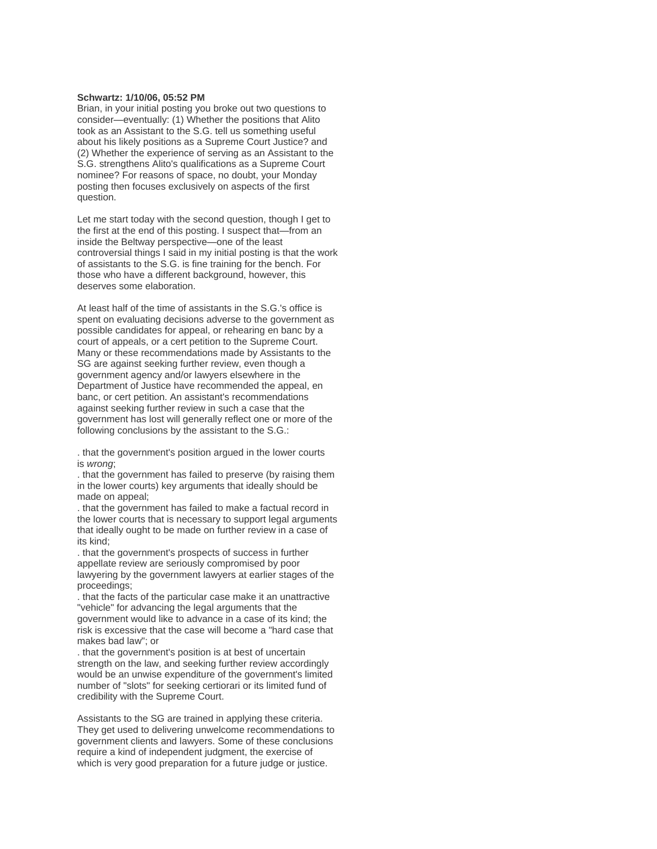### **Schwartz: 1/10/06, 05:52 PM**

Brian, in your initial posting you broke out two questions to consider—eventually: (1) Whether the positions that Alito took as an Assistant to the S.G. tell us something useful about his likely positions as a Supreme Court Justice? and (2) Whether the experience of serving as an Assistant to the S.G. strengthens Alito's qualifications as a Supreme Court nominee? For reasons of space, no doubt, your Monday posting then focuses exclusively on aspects of the first question.

Let me start today with the second question, though I get to the first at the end of this posting. I suspect that—from an inside the Beltway perspective—one of the least controversial things I said in my initial posting is that the work of assistants to the S.G. is fine training for the bench. For those who have a different background, however, this deserves some elaboration.

At least half of the time of assistants in the S.G.'s office is spent on evaluating decisions adverse to the government as possible candidates for appeal, or rehearing en banc by a court of appeals, or a cert petition to the Supreme Court. Many or these recommendations made by Assistants to the SG are against seeking further review, even though a government agency and/or lawyers elsewhere in the Department of Justice have recommended the appeal, en banc, or cert petition. An assistant's recommendations against seeking further review in such a case that the government has lost will generally reflect one or more of the following conclusions by the assistant to the S.G.:

. that the government's position argued in the lower courts is *wrong*;

. that the government has failed to preserve (by raising them in the lower courts) key arguments that ideally should be made on appeal;

. that the government has failed to make a factual record in the lower courts that is necessary to support legal arguments that ideally ought to be made on further review in a case of its kind;

. that the government's prospects of success in further appellate review are seriously compromised by poor lawyering by the government lawyers at earlier stages of the proceedings;

. that the facts of the particular case make it an unattractive "vehicle" for advancing the legal arguments that the government would like to advance in a case of its kind; the risk is excessive that the case will become a "hard case that makes bad law"; or

. that the government's position is at best of uncertain strength on the law, and seeking further review accordingly would be an unwise expenditure of the government's limited number of "slots" for seeking certiorari or its limited fund of credibility with the Supreme Court.

Assistants to the SG are trained in applying these criteria. They get used to delivering unwelcome recommendations to government clients and lawyers. Some of these conclusions require a kind of independent judgment, the exercise of which is very good preparation for a future judge or justice.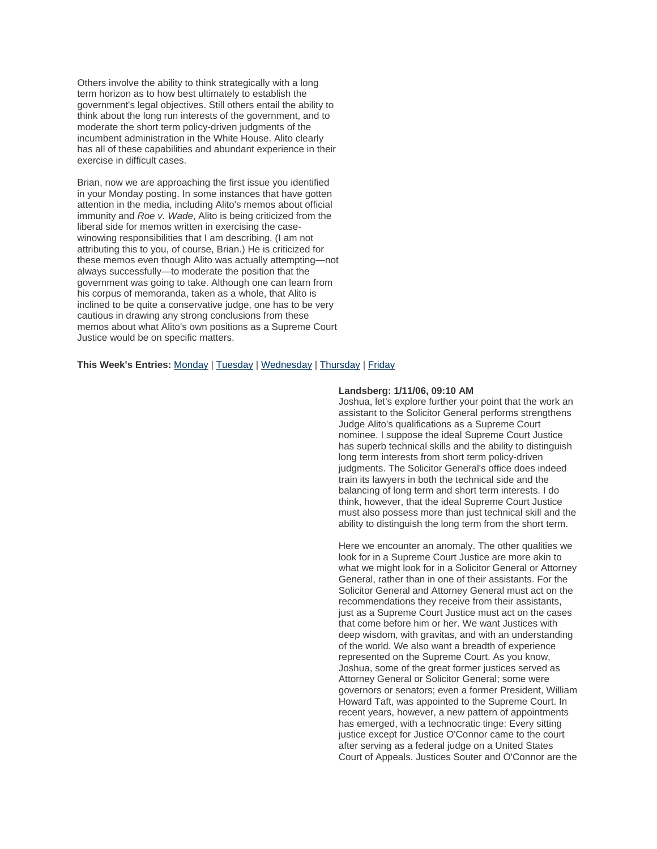Others involve the ability to think strategically with a long term horizon as to how best ultimately to establish the government's legal objectives. Still others entail the ability to think about the long run interests of the government, and to moderate the short term policy-driven judgments of the incumbent administration in the White House. Alito clearly has all of these capabilities and abundant experience in their exercise in difficult cases.

Brian, now we are approaching the first issue you identified in your Monday posting. In some instances that have gotten attention in the media, including Alito's memos about official immunity and *Roe v. Wade*, Alito is being criticized from the liberal side for memos written in exercising the casewinowing responsibilities that I am describing. (I am not attributing this to you, of course, Brian.) He is criticized for these memos even though Alito was actually attempting—not always successfully—to moderate the position that the government was going to take. Although one can learn from his corpus of memoranda, taken as a whole, that Alito is inclined to be quite a conservative judge, one has to be very cautious in drawing any strong conclusions from these memos about what Alito's own positions as a Supreme Court Justice would be on specific matters.

#### **This Week's Entries:** [Monday](https://www.legalaffairs.org/webexclusive/debateclub_sg0106.msp#Monday) | [Tuesday](https://www.legalaffairs.org/webexclusive/debateclub_sg0106.msp#Tuesday) | [Wednesday](https://www.legalaffairs.org/webexclusive/debateclub_sg0106.msp#Wednesday) | [Thursday](https://www.legalaffairs.org/webexclusive/debateclub_sg0106.msp#Thursday) | [Friday](https://www.legalaffairs.org/webexclusive/debateclub_sg0106.msp#Friday)

#### **Landsberg: 1/11/06, 09:10 AM**

Joshua, let's explore further your point that the work an assistant to the Solicitor General performs strengthens Judge Alito's qualifications as a Supreme Court nominee. I suppose the ideal Supreme Court Justice has superb technical skills and the ability to distinguish long term interests from short term policy-driven judgments. The Solicitor General's office does indeed train its lawyers in both the technical side and the balancing of long term and short term interests. I do think, however, that the ideal Supreme Court Justice must also possess more than just technical skill and the ability to distinguish the long term from the short term.

Here we encounter an anomaly. The other qualities we look for in a Supreme Court Justice are more akin to what we might look for in a Solicitor General or Attorney General, rather than in one of their assistants. For the Solicitor General and Attorney General must act on the recommendations they receive from their assistants, just as a Supreme Court Justice must act on the cases that come before him or her. We want Justices with deep wisdom, with gravitas, and with an understanding of the world. We also want a breadth of experience represented on the Supreme Court. As you know, Joshua, some of the great former justices served as Attorney General or Solicitor General; some were governors or senators; even a former President, William Howard Taft, was appointed to the Supreme Court. In recent years, however, a new pattern of appointments has emerged, with a technocratic tinge: Every sitting justice except for Justice O'Connor came to the court after serving as a federal judge on a United States Court of Appeals. Justices Souter and O'Connor are the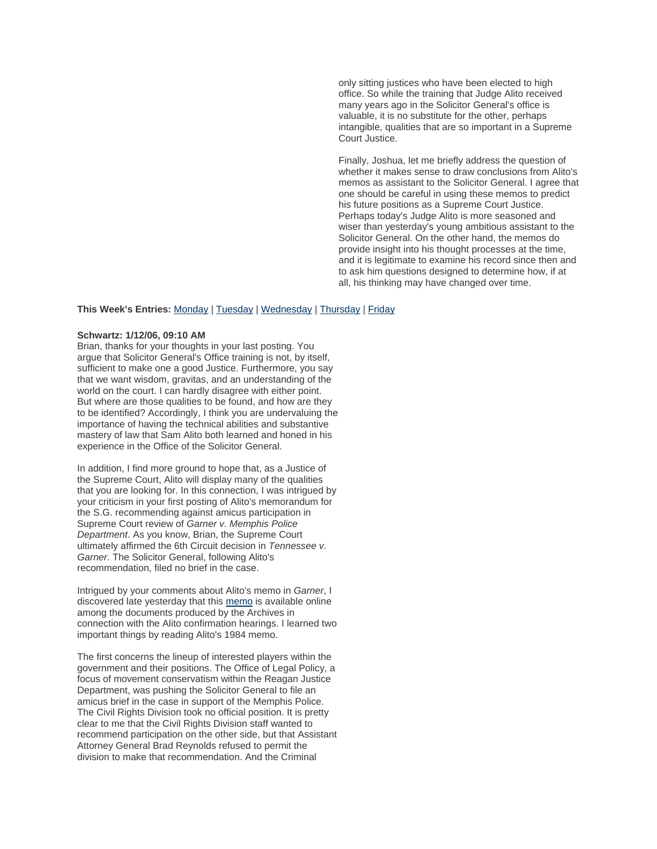only sitting justices who have been elected to high office. So while the training that Judge Alito received many years ago in the Solicitor General's office is valuable, it is no substitute for the other, perhaps intangible, qualities that are so important in a Supreme Court Justice.

Finally, Joshua, let me briefly address the question of whether it makes sense to draw conclusions from Alito's memos as assistant to the Solicitor General. I agree that one should be careful in using these memos to predict his future positions as a Supreme Court Justice. Perhaps today's Judge Alito is more seasoned and wiser than yesterday's young ambitious assistant to the Solicitor General. On the other hand, the memos do provide insight into his thought processes at the time, and it is legitimate to examine his record since then and to ask him questions designed to determine how, if at all, his thinking may have changed over time.

#### **This Week's Entries:** [Monday](https://www.legalaffairs.org/webexclusive/debateclub_sg0106.msp#Monday) | [Tuesday](https://www.legalaffairs.org/webexclusive/debateclub_sg0106.msp#Tuesday) | [Wednesday](https://www.legalaffairs.org/webexclusive/debateclub_sg0106.msp#Wednesday) | [Thursday](https://www.legalaffairs.org/webexclusive/debateclub_sg0106.msp#Thursday) | [Friday](https://www.legalaffairs.org/webexclusive/debateclub_sg0106.msp#Friday)

#### **Schwartz: 1/12/06, 09:10 AM**

Brian, thanks for your thoughts in your last posting. You argue that Solicitor General's Office training is not, by itself, sufficient to make one a good Justice. Furthermore, you say that we want wisdom, gravitas, and an understanding of the world on the court. I can hardly disagree with either point. But where are those qualities to be found, and how are they to be identified? Accordingly, I think you are undervaluing the importance of having the technical abilities and substantive mastery of law that Sam Alito both learned and honed in his experience in the Office of the Solicitor General.

In addition, I find more ground to hope that, as a Justice of the Supreme Court, Alito will display many of the qualities that you are looking for. In this connection, I was intrigued by your criticism in your first posting of Alito's memorandum for the S.G. recommending against amicus participation in Supreme Court review of *Garner v. Memphis Police Department*. As you know, Brian, the Supreme Court ultimately affirmed the 6th Circuit decision in *Tennessee v. Garner*. The Solicitor General, following Alito's recommendation, filed no brief in the case.

Intrigued by your comments about Alito's memo in *Garner*, I discovered late yesterday that this [memo](http://www.archives.gov/news/samuel-alito/accession-060-89-216/MemphisPol-v-Garner-1984-box19-memoAlitotoSolicitorGeneral.pdf) is available online among the documents produced by the Archives in connection with the Alito confirmation hearings. I learned two important things by reading Alito's 1984 memo.

The first concerns the lineup of interested players within the government and their positions. The Office of Legal Policy, a focus of movement conservatism within the Reagan Justice Department, was pushing the Solicitor General to file an amicus brief in the case in support of the Memphis Police. The Civil Rights Division took no official position. It is pretty clear to me that the Civil Rights Division staff wanted to recommend participation on the other side, but that Assistant Attorney General Brad Reynolds refused to permit the division to make that recommendation. And the Criminal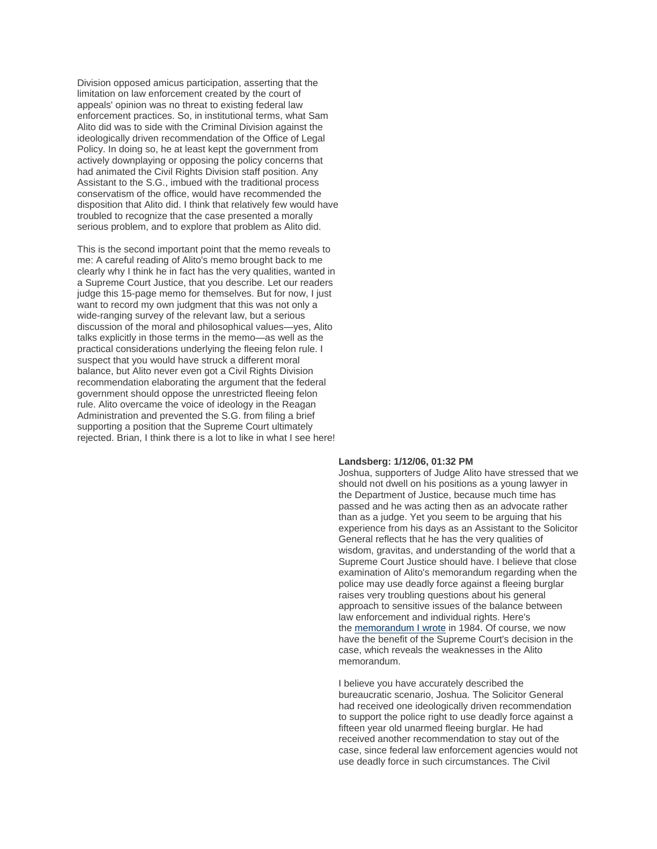Division opposed amicus participation, asserting that the limitation on law enforcement created by the court of appeals' opinion was no threat to existing federal law enforcement practices. So, in institutional terms, what Sam Alito did was to side with the Criminal Division against the ideologically driven recommendation of the Office of Legal Policy. In doing so, he at least kept the government from actively downplaying or opposing the policy concerns that had animated the Civil Rights Division staff position. Any Assistant to the S.G., imbued with the traditional process conservatism of the office, would have recommended the disposition that Alito did. I think that relatively few would have troubled to recognize that the case presented a morally serious problem, and to explore that problem as Alito did.

This is the second important point that the memo reveals to me: A careful reading of Alito's memo brought back to me clearly why I think he in fact has the very qualities, wanted in a Supreme Court Justice, that you describe. Let our readers judge this 15-page memo for themselves. But for now, I just want to record my own judgment that this was not only a wide-ranging survey of the relevant law, but a serious discussion of the moral and philosophical values—yes, Alito talks explicitly in those terms in the memo—as well as the practical considerations underlying the fleeing felon rule. I suspect that you would have struck a different moral balance, but Alito never even got a Civil Rights Division recommendation elaborating the argument that the federal government should oppose the unrestricted fleeing felon rule. Alito overcame the voice of ideology in the Reagan Administration and prevented the S.G. from filing a brief supporting a position that the Supreme Court ultimately rejected. Brian, I think there is a lot to like in what I see here!

#### **Landsberg: 1/12/06, 01:32 PM**

Joshua, supporters of Judge Alito have stressed that we should not dwell on his positions as a young lawyer in the Department of Justice, because much time has passed and he was acting then as an advocate rather than as a judge. Yet you seem to be arguing that his experience from his days as an Assistant to the Solicitor General reflects that he has the very qualities of wisdom, gravitas, and understanding of the world that a Supreme Court Justice should have. I believe that close examination of Alito's memorandum regarding when the police may use deadly force against a fleeing burglar raises very troubling questions about his general approach to sensitive issues of the balance between law enforcement and individual rights. Here's the [memorandum I wrote](http://www.archives.gov/news/samuel-alito/accession-060-89-216/MemphisPol-v-Garner-1984-box19-memoLandsburgtoReynolds.pdf) in 1984. Of course, we now have the benefit of the Supreme Court's decision in the case, which reveals the weaknesses in the Alito memorandum.

I believe you have accurately described the bureaucratic scenario, Joshua. The Solicitor General had received one ideologically driven recommendation to support the police right to use deadly force against a fifteen year old unarmed fleeing burglar. He had received another recommendation to stay out of the case, since federal law enforcement agencies would not use deadly force in such circumstances. The Civil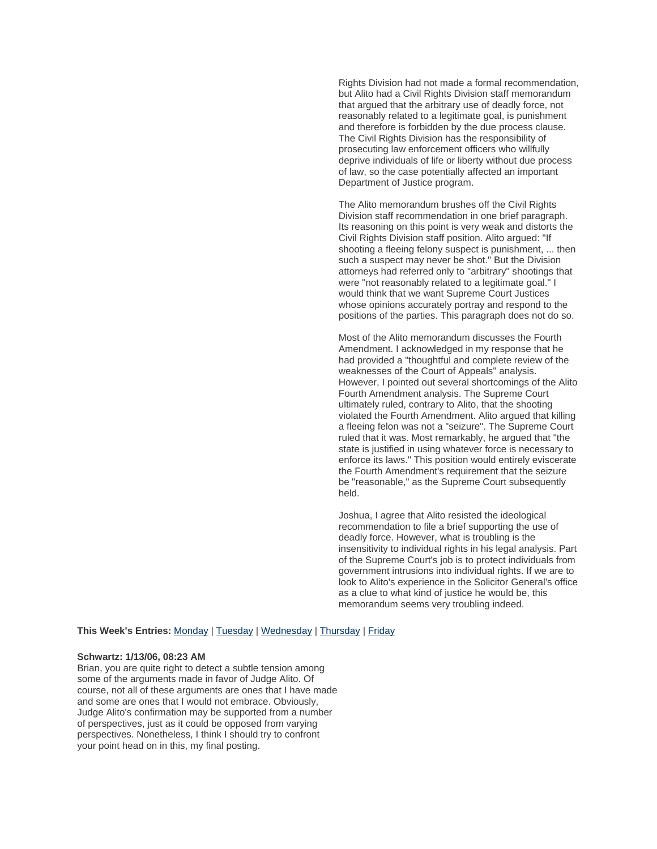Rights Division had not made a formal recommendation, but Alito had a Civil Rights Division staff memorandum that argued that the arbitrary use of deadly force, not reasonably related to a legitimate goal, is punishment and therefore is forbidden by the due process clause. The Civil Rights Division has the responsibility of prosecuting law enforcement officers who willfully deprive individuals of life or liberty without due process of law, so the case potentially affected an important Department of Justice program.

The Alito memorandum brushes off the Civil Rights Division staff recommendation in one brief paragraph. Its reasoning on this point is very weak and distorts the Civil Rights Division staff position. Alito argued: "If shooting a fleeing felony suspect is punishment, ... then such a suspect may never be shot." But the Division attorneys had referred only to "arbitrary" shootings that were "not reasonably related to a legitimate goal." I would think that we want Supreme Court Justices whose opinions accurately portray and respond to the positions of the parties. This paragraph does not do so.

Most of the Alito memorandum discusses the Fourth Amendment. I acknowledged in my response that he had provided a "thoughtful and complete review of the weaknesses of the Court of Appeals" analysis. However, I pointed out several shortcomings of the Alito Fourth Amendment analysis. The Supreme Court ultimately ruled, contrary to Alito, that the shooting violated the Fourth Amendment. Alito argued that killing a fleeing felon was not a "seizure". The Supreme Court ruled that it was. Most remarkably, he argued that "the state is justified in using whatever force is necessary to enforce its laws." This position would entirely eviscerate the Fourth Amendment's requirement that the seizure be "reasonable," as the Supreme Court subsequently held.

Joshua, I agree that Alito resisted the ideological recommendation to file a brief supporting the use of deadly force. However, what is troubling is the insensitivity to individual rights in his legal analysis. Part of the Supreme Court's job is to protect individuals from government intrusions into individual rights. If we are to look to Alito's experience in the Solicitor General's office as a clue to what kind of justice he would be, this memorandum seems very troubling indeed.

**This Week's Entries:** [Monday](https://www.legalaffairs.org/webexclusive/debateclub_sg0106.msp#Monday) | [Tuesday](https://www.legalaffairs.org/webexclusive/debateclub_sg0106.msp#Tuesday) | [Wednesday](https://www.legalaffairs.org/webexclusive/debateclub_sg0106.msp#Wednesday) | [Thursday](https://www.legalaffairs.org/webexclusive/debateclub_sg0106.msp#Thursday) | [Friday](https://www.legalaffairs.org/webexclusive/debateclub_sg0106.msp#Friday)

#### **Schwartz: 1/13/06, 08:23 AM**

Brian, you are quite right to detect a subtle tension among some of the arguments made in favor of Judge Alito. Of course, not all of these arguments are ones that I have made and some are ones that I would not embrace. Obviously, Judge Alito's confirmation may be supported from a number of perspectives, just as it could be opposed from varying perspectives. Nonetheless, I think I should try to confront your point head on in this, my final posting.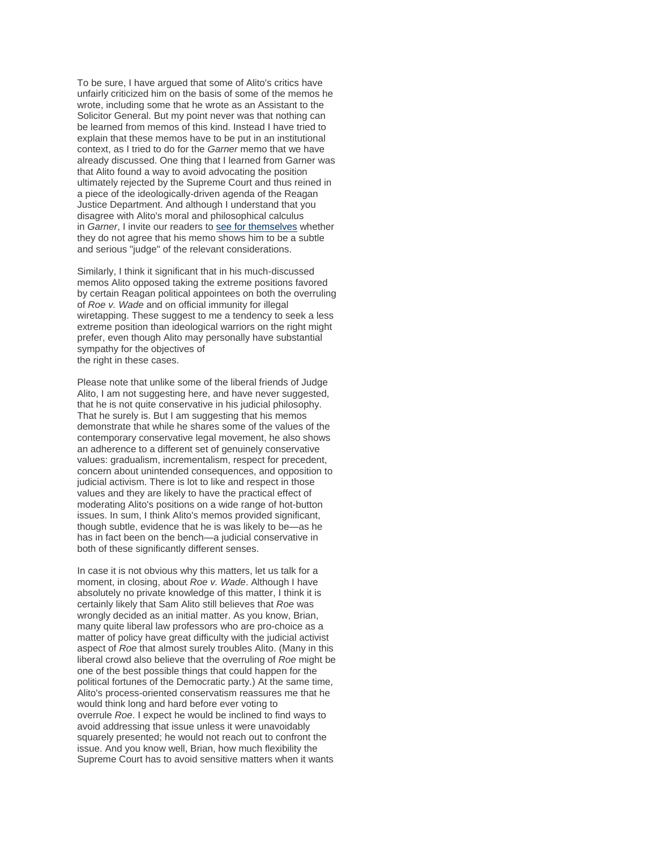To be sure, I have argued that some of Alito's critics have unfairly criticized him on the basis of some of the memos he wrote, including some that he wrote as an Assistant to the Solicitor General. But my point never was that nothing can be learned from memos of this kind. Instead I have tried to explain that these memos have to be put in an institutional context, as I tried to do for the *Garner* memo that we have already discussed. One thing that I learned from Garner was that Alito found a way to avoid advocating the position ultimately rejected by the Supreme Court and thus reined in a piece of the ideologically-driven agenda of the Reagan Justice Department. And although I understand that you disagree with Alito's moral and philosophical calculus in *Garner*, I invite our readers to [see for themselves](http://www.archives.gov/news/samuel-alito/accession-060-89-216/MemphisPol-v-Garner-1984-box19-memoAlitotoSolicitorGeneral.pdf) whether they do not agree that his memo shows him to be a subtle and serious "judge" of the relevant considerations.

Similarly, I think it significant that in his much-discussed memos Alito opposed taking the extreme positions favored by certain Reagan political appointees on both the overruling of *Roe v. Wade* and on official immunity for illegal wiretapping. These suggest to me a tendency to seek a less extreme position than ideological warriors on the right might prefer, even though Alito may personally have substantial sympathy for the objectives of the right in these cases.

Please note that unlike some of the liberal friends of Judge Alito, I am not suggesting here, and have never suggested, that he is not quite conservative in his judicial philosophy. That he surely is. But I am suggesting that his memos demonstrate that while he shares some of the values of the contemporary conservative legal movement, he also shows an adherence to a different set of genuinely conservative values: gradualism, incrementalism, respect for precedent, concern about unintended consequences, and opposition to judicial activism. There is lot to like and respect in those values and they are likely to have the practical effect of moderating Alito's positions on a wide range of hot-button issues. In sum, I think Alito's memos provided significant, though subtle, evidence that he is was likely to be—as he has in fact been on the bench—a judicial conservative in both of these significantly different senses.

In case it is not obvious why this matters, let us talk for a moment, in closing, about *Roe v. Wade*. Although I have absolutely no private knowledge of this matter, I think it is certainly likely that Sam Alito still believes that *Roe* was wrongly decided as an initial matter. As you know, Brian, many quite liberal law professors who are pro-choice as a matter of policy have great difficulty with the judicial activist aspect of *Roe* that almost surely troubles Alito. (Many in this liberal crowd also believe that the overruling of *Roe* might be one of the best possible things that could happen for the political fortunes of the Democratic party.) At the same time, Alito's process-oriented conservatism reassures me that he would think long and hard before ever voting to overrule *Roe*. I expect he would be inclined to find ways to avoid addressing that issue unless it were unavoidably squarely presented; he would not reach out to confront the issue. And you know well, Brian, how much flexibility the Supreme Court has to avoid sensitive matters when it wants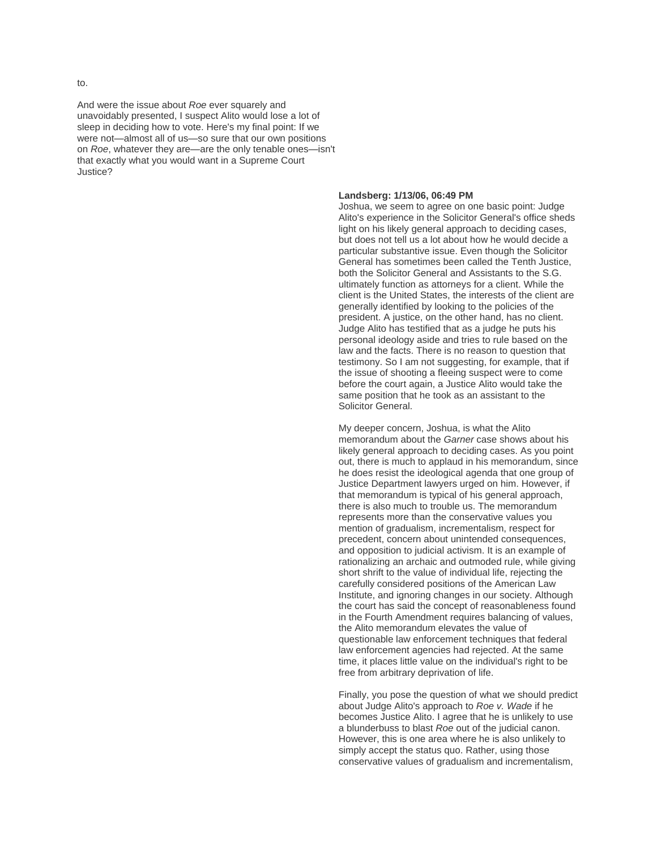to.

And were the issue about *Roe* ever squarely and unavoidably presented, I suspect Alito would lose a lot of sleep in deciding how to vote. Here's my final point: If we were not—almost all of us—so sure that our own positions on *Roe*, whatever they are—are the only tenable ones—isn't that exactly what you would want in a Supreme Court Justice?

#### **Landsberg: 1/13/06, 06:49 PM**

Joshua, we seem to agree on one basic point: Judge Alito's experience in the Solicitor General's office sheds light on his likely general approach to deciding cases, but does not tell us a lot about how he would decide a particular substantive issue. Even though the Solicitor General has sometimes been called the Tenth Justice, both the Solicitor General and Assistants to the S.G. ultimately function as attorneys for a client. While the client is the United States, the interests of the client are generally identified by looking to the policies of the president. A justice, on the other hand, has no client. Judge Alito has testified that as a judge he puts his personal ideology aside and tries to rule based on the law and the facts. There is no reason to question that testimony. So I am not suggesting, for example, that if the issue of shooting a fleeing suspect were to come before the court again, a Justice Alito would take the same position that he took as an assistant to the Solicitor General.

My deeper concern, Joshua, is what the Alito memorandum about the *Garner* case shows about his likely general approach to deciding cases. As you point out, there is much to applaud in his memorandum, since he does resist the ideological agenda that one group of Justice Department lawyers urged on him. However, if that memorandum is typical of his general approach, there is also much to trouble us. The memorandum represents more than the conservative values you mention of gradualism, incrementalism, respect for precedent, concern about unintended consequences, and opposition to judicial activism. It is an example of rationalizing an archaic and outmoded rule, while giving short shrift to the value of individual life, rejecting the carefully considered positions of the American Law Institute, and ignoring changes in our society. Although the court has said the concept of reasonableness found in the Fourth Amendment requires balancing of values, the Alito memorandum elevates the value of questionable law enforcement techniques that federal law enforcement agencies had rejected. At the same time, it places little value on the individual's right to be free from arbitrary deprivation of life.

Finally, you pose the question of what we should predict about Judge Alito's approach to *Roe v. Wade* if he becomes Justice Alito. I agree that he is unlikely to use a blunderbuss to blast *Roe* out of the judicial canon. However, this is one area where he is also unlikely to simply accept the status quo. Rather, using those conservative values of gradualism and incrementalism,